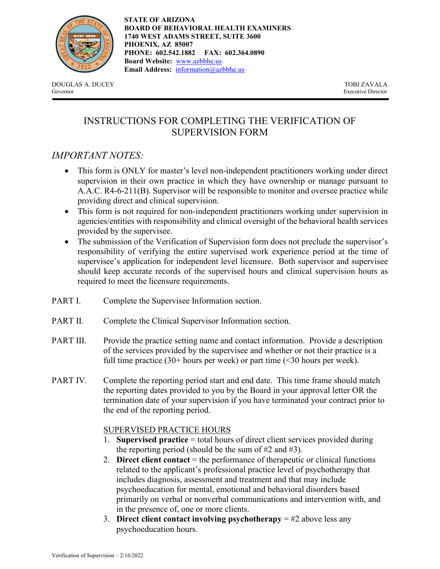

**STATE OF ARIZONA BOARD OF BEHAVIORAL HEALTH EXAMINERS 1740 WEST ADAMS STREET, SUITE 3600 PHOENIX, AZ 85007 PHONE: 602.542.1882 FAX: 602.364.0890 Board Website:** [www.azbbhe.us](http://www.azbbhe.us/) **Email Address:** [information@azbbhe.us](mailto:information@azbbhe.us)

DOUGLAS A. DUCEY TOBI ZAVALA Governor Executive Director

# INSTRUCTIONS FOR COMPLETING THE VERIFICATION OF SUPERVISION FORM

### *IMPORTANT NOTES:*

- This form is ONLY for master's level non-independent practitioners working under direct supervision in their own practice in which they have ownership or manage pursuant to A.A.C. R4-6-211(B). Supervisor will be responsible to monitor and oversee practice while providing direct and clinical supervision.
- This form is not required for non-independent practitioners working under supervision in agencies/entities with responsibility and clinical oversight of the behavioral health services provided by the supervisee.
- The submission of the Verification of Supervision form does not preclude the supervisor's responsibility of verifying the entire supervised work experience period at the time of supervisee's application for independent level licensure. Both supervisor and supervisee should keep accurate records of the supervised hours and clinical supervision hours as required to meet the licensure requirements.
- PART I. Complete the Supervisee Information section.
- PART II. Complete the Clinical Supervisor Information section.
- PART III. Provide the practice setting name and contact information. Provide a description of the services provided by the supervisee and whether or not their practice is a full time practice  $(30+)$  hours per week) or part time  $(30)$  hours per week).
- PART IV. Complete the reporting period start and end date. This time frame should match the reporting dates provided to you by the Board in your approval letter OR the termination date of your supervision if you have terminated your contract prior to the end of the reporting period.

#### SUPERVISED PRACTICE HOURS

- 1. **Supervised practice** = total hours of direct client services provided during the reporting period (should be the sum of  $#2$  and  $#3$ ).
- 2. **Direct client contact** = the performance of therapeutic or clinical functions related to the applicant's professional practice level of psychotherapy that includes diagnosis, assessment and treatment and that may include psychoeducation for mental, emotional and behavioral disorders based primarily on verbal or nonverbal communications and intervention with, and in the presence of, one or more clients.
- 3. **Direct client contact involving psychotherapy** = #2 above less any psychoeducation hours.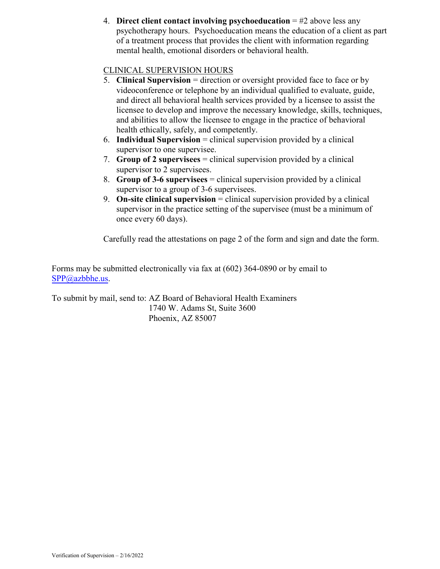4. **Direct client contact involving psychoeducation** = #2 above less any psychotherapy hours. Psychoeducation means the education of a client as part of a treatment process that provides the client with information regarding mental health, emotional disorders or behavioral health.

### CLINICAL SUPERVISION HOURS

- 5. **Clinical Supervision** = direction or oversight provided face to face or by videoconference or telephone by an individual qualified to evaluate, guide, and direct all behavioral health services provided by a licensee to assist the licensee to develop and improve the necessary knowledge, skills, techniques, and abilities to allow the licensee to engage in the practice of behavioral health ethically, safely, and competently.
- 6. **Individual Supervision** = clinical supervision provided by a clinical supervisor to one supervisee.
- 7. **Group of 2 supervisees** = clinical supervision provided by a clinical supervisor to 2 supervisees.
- 8. **Group of 3-6 supervisees** = clinical supervision provided by a clinical supervisor to a group of 3-6 supervisees.
- 9. **On-site clinical supervision** = clinical supervision provided by a clinical supervisor in the practice setting of the supervisee (must be a minimum of once every 60 days).

Carefully read the attestations on page 2 of the form and sign and date the form.

Forms may be submitted electronically via fax at (602) 364-0890 or by email to SPP[@azbbhe.us.](mailto:ale.argento@azbbhe.us) 

To submit by mail, send to: AZ Board of Behavioral Health Examiners 1740 W. Adams St, Suite 3600 Phoenix, AZ 85007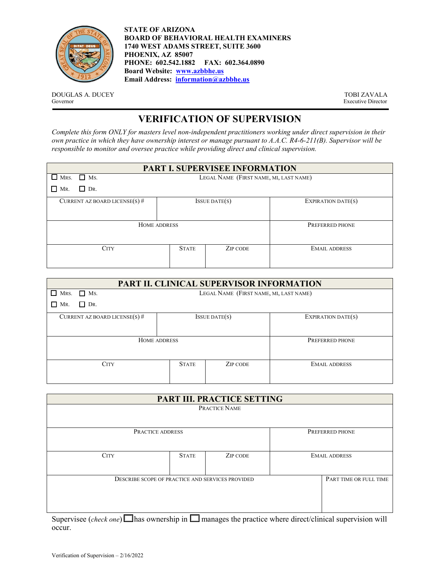

**STATE OF ARIZONA BOARD OF BEHAVIORAL HEALTH EXAMINERS 1740 WEST ADAMS STREET, SUITE 3600 PHOENIX, AZ 85007 PHONE: 602.542.1882 FAX: 602.364.0890 Board Website: [www.azbbhe.us](http://www.azbbhe.us/)  Email Address: [information@azbbhe.us](mailto:information@azbbhe.us)**

DOUGLAS A. DUCEY TOBI ZAVALA Governor TOBI ZAVALA Governor TOBI ZAVALA

Executive Director

# **VERIFICATION OF SUPERVISION**

*Complete this form ONLY for masters level non-independent practitioners working under direct supervision in their own practice in which they have ownership interest or manage pursuant to A.A.C. R4-6-211(B). Supervisor will be responsible to monitor and oversee practice while providing direct and clinical supervision.*

| <b>PART I. SUPERVISEE INFORMATION</b> |
|---------------------------------------|
|---------------------------------------|

| $\Box$ Ms.<br>$\Box$ Mrs.       | LEGAL NAME (FIRST NAME, MI, LAST NAME) |                     |                      |  |
|---------------------------------|----------------------------------------|---------------------|----------------------|--|
| $\Box$<br>$\Box$ DR.<br>MR.     |                                        |                     |                      |  |
| CURRENT AZ BOARD LICENSE(S) $#$ |                                        | $I$ SSUE DATE $(s)$ | EXPIRATION DATE(S)   |  |
| HOME ADDRESS                    | PREFERRED PHONE                        |                     |                      |  |
| <b>CITY</b>                     | <b>STATE</b>                           | ZIP CODE            | <b>EMAIL ADDRESS</b> |  |

| PART II. CLINICAL SUPERVISOR INFORMATION |                                        |          |                      |  |  |  |
|------------------------------------------|----------------------------------------|----------|----------------------|--|--|--|
| П<br>$\Box$ Ms.<br>MRS.                  | LEGAL NAME (FIRST NAME, MI, LAST NAME) |          |                      |  |  |  |
| $\Box$ DR.<br>П<br>MR.                   |                                        |          |                      |  |  |  |
| CURRENT AZ BOARD LICENSE(S) $#$          | EXPIRATION DATE(S)                     |          |                      |  |  |  |
| HOME ADDRESS                             | PREFERRED PHONE                        |          |                      |  |  |  |
| <b>CITY</b>                              | <b>STATE</b>                           | ZIP CODE | <b>EMAIL ADDRESS</b> |  |  |  |

| <b>PART III. PRACTICE SETTING</b>                |                        |               |                      |  |
|--------------------------------------------------|------------------------|---------------|----------------------|--|
|                                                  |                        | PRACTICE NAME |                      |  |
| PRACTICE ADDRESS                                 |                        |               | PREFERRED PHONE      |  |
| <b>CITY</b>                                      | <b>STATE</b>           | ZIP CODE      | <b>EMAIL ADDRESS</b> |  |
| DESCRIBE SCOPE OF PRACTICE AND SERVICES PROVIDED | PART TIME OR FULL TIME |               |                      |  |

Supervisee (*check one*)  $\Box$  has ownership in  $\Box$  manages the practice where direct/clinical supervision will occur.